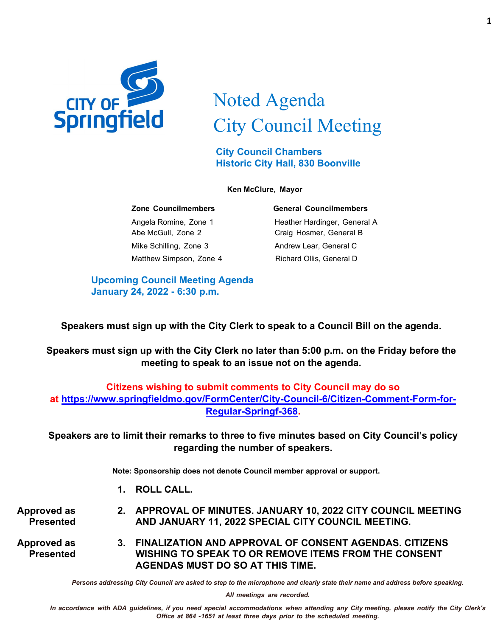

# Noted Agenda City Council Meeting

**City Council Chambers Historic City Hall, 830 Boonville**

#### **Ken McClure, Mayor**

Abe McGull, Zone 2 Craig Hosmer, General B Mike Schilling, Zone 3 Andrew Lear, General C Matthew Simpson, Zone 4 Richard Ollis, General D

#### **Zone Councilmembers General Councilmembers**

Angela Romine, Zone 1 Heather Hardinger, General A

**Upcoming Council Meeting Agenda January 24, 2022 - 6:30 p.m.**

**Speakers must sign up with the City Clerk to speak to a Council Bill on the agenda.**

**Speakers must sign up with the City Clerk no later than 5:00 p.m. on the Friday before the meeting to speak to an issue not on the agenda.**

# **Citizens wishing to submit comments to City Council may do so at [https://www.springfieldmo.gov/FormCenter/City-Council-6/Citizen-Comment-Form-for-](https://www.springfieldmo.gov/FormCenter/City-Council-6/Citizen-Comment-Form-for-Regular-Springf-368)[Regular-Springf-368.](https://www.springfieldmo.gov/FormCenter/City-Council-6/Citizen-Comment-Form-for-Regular-Springf-368)**

**Speakers are to limit their remarks to three to five minutes based on City Council's policy regarding the number of speakers.**

**Note: Sponsorship does not denote Council member approval or support.**

**1. ROLL CALL.**

**Approved as Presented 2. APPROVAL OF MINUTES. JANUARY 10, 2022 CITY COUNCIL MEETING AND JANUARY 11, 2022 SPECIAL CITY COUNCIL MEETING.**

**Approved as Presented 3. FINALIZATION AND APPROVAL OF CONSENT AGENDAS. CITIZENS WISHING TO SPEAK TO OR REMOVE ITEMS FROM THE CONSENT AGENDAS MUST DO SO AT THIS TIME.**

*Persons addressing City Council are asked to step to the microphone and clearly state their name and address before speaking.*

*All meetings are recorded.*

In accordance with ADA guidelines, if you need special accommodations when attending any City meeting, please notify the City Clerk's *Office at 864 -1651 at least three days prior to the scheduled meeting.*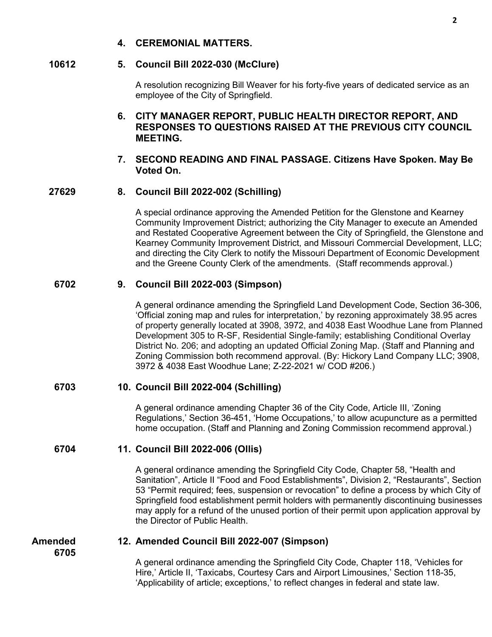# **4. CEREMONIAL MATTERS.**

# **10612 5. Council Bill 2022-030 (McClure)**

A resolution recognizing Bill Weaver for his forty-five years of dedicated service as an employee of the City of Springfield.

# **6. CITY MANAGER REPORT, PUBLIC HEALTH DIRECTOR REPORT, AND RESPONSES TO QUESTIONS RAISED AT THE PREVIOUS CITY COUNCIL MEETING.**

# **7. SECOND READING AND FINAL PASSAGE. Citizens Have Spoken. May Be Voted On.**

# **27629 8. Council Bill 2022-002 (Schilling)**

A special ordinance approving the Amended Petition for the Glenstone and Kearney Community Improvement District; authorizing the City Manager to execute an Amended and Restated Cooperative Agreement between the City of Springfield, the Glenstone and Kearney Community Improvement District, and Missouri Commercial Development, LLC; and directing the City Clerk to notify the Missouri Department of Economic Development and the Greene County Clerk of the amendments. (Staff recommends approval.)

# **6702 9. Council Bill 2022-003 (Simpson)**

A general ordinance amending the Springfield Land Development Code, Section 36-306, 'Official zoning map and rules for interpretation,' by rezoning approximately 38.95 acres of property generally located at 3908, 3972, and 4038 East Woodhue Lane from Planned Development 305 to R-SF, Residential Single-family; establishing Conditional Overlay District No. 206; and adopting an updated Official Zoning Map. (Staff and Planning and Zoning Commission both recommend approval. (By: Hickory Land Company LLC; 3908, 3972 & 4038 East Woodhue Lane; Z-22-2021 w/ COD #206.)

# **6703 10. Council Bill 2022-004 (Schilling)**

A general ordinance amending Chapter 36 of the City Code, Article III, 'Zoning Regulations,' Section 36-451, 'Home Occupations,' to allow acupuncture as a permitted home occupation. (Staff and Planning and Zoning Commission recommend approval.)

# **6704 11. Council Bill 2022-006 (Ollis)**

A general ordinance amending the Springfield City Code, Chapter 58, "Health and Sanitation", Article II "Food and Food Establishments", Division 2, "Restaurants", Section 53 "Permit required; fees, suspension or revocation" to define a process by which City of Springfield food establishment permit holders with permanently discontinuing businesses may apply for a refund of the unused portion of their permit upon application approval by the Director of Public Health.

**Amended 6705**

# **12. Amended Council Bill 2022-007 (Simpson)**

A general ordinance amending the Springfield City Code, Chapter 118, 'Vehicles for Hire,' Article II, 'Taxicabs, Courtesy Cars and Airport Limousines,' Section 118-35, 'Applicability of article; exceptions,' to reflect changes in federal and state law.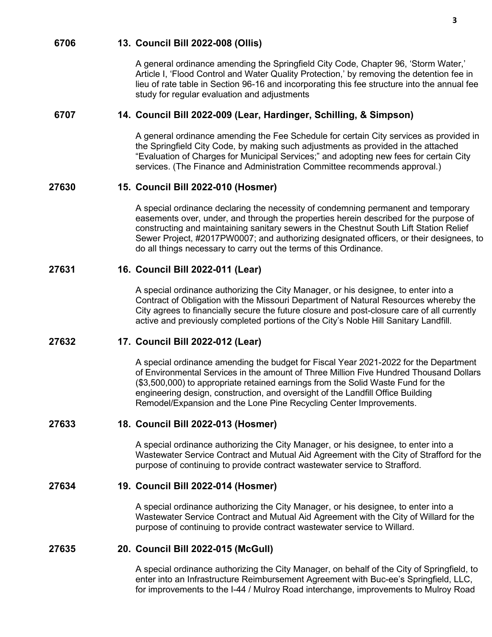### **6706 13. Council Bill 2022-008 (Ollis)**

A general ordinance amending the Springfield City Code, Chapter 96, 'Storm Water,' Article I, 'Flood Control and Water Quality Protection,' by removing the detention fee in lieu of rate table in Section 96-16 and incorporating this fee structure into the annual fee study for regular evaluation and adjustments

# **6707 14. Council Bill 2022-009 (Lear, Hardinger, Schilling, & Simpson)**

A general ordinance amending the Fee Schedule for certain City services as provided in the Springfield City Code, by making such adjustments as provided in the attached "Evaluation of Charges for Municipal Services;" and adopting new fees for certain City services. (The Finance and Administration Committee recommends approval.)

#### **27630 15. Council Bill 2022-010 (Hosmer)**

A special ordinance declaring the necessity of condemning permanent and temporary easements over, under, and through the properties herein described for the purpose of constructing and maintaining sanitary sewers in the Chestnut South Lift Station Relief Sewer Project, #2017PW0007; and authorizing designated officers, or their designees, to do all things necessary to carry out the terms of this Ordinance.

# **27631 16. Council Bill 2022-011 (Lear)**

A special ordinance authorizing the City Manager, or his designee, to enter into a Contract of Obligation with the Missouri Department of Natural Resources whereby the City agrees to financially secure the future closure and post-closure care of all currently active and previously completed portions of the City's Noble Hill Sanitary Landfill.

# **27632 17. Council Bill 2022-012 (Lear)**

A special ordinance amending the budget for Fiscal Year 2021-2022 for the Department of Environmental Services in the amount of Three Million Five Hundred Thousand Dollars (\$3,500,000) to appropriate retained earnings from the Solid Waste Fund for the engineering design, construction, and oversight of the Landfill Office Building Remodel/Expansion and the Lone Pine Recycling Center Improvements.

#### **27633 18. Council Bill 2022-013 (Hosmer)**

A special ordinance authorizing the City Manager, or his designee, to enter into a Wastewater Service Contract and Mutual Aid Agreement with the City of Strafford for the purpose of continuing to provide contract wastewater service to Strafford.

#### **27634 19. Council Bill 2022-014 (Hosmer)**

A special ordinance authorizing the City Manager, or his designee, to enter into a Wastewater Service Contract and Mutual Aid Agreement with the City of Willard for the purpose of continuing to provide contract wastewater service to Willard.

# **27635 20. Council Bill 2022-015 (McGull)**

A special ordinance authorizing the City Manager, on behalf of the City of Springfield, to enter into an Infrastructure Reimbursement Agreement with Buc-ee's Springfield, LLC, for improvements to the I-44 / Mulroy Road interchange, improvements to Mulroy Road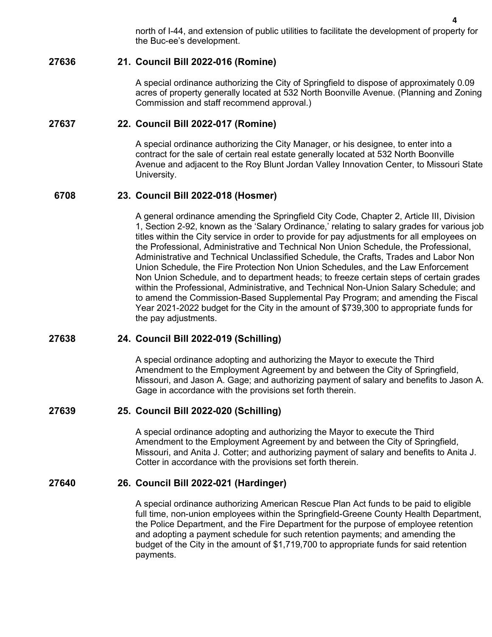north of I-44, and extension of public utilities to facilitate the development of property for the Buc-ee's development.

# **27636 21. Council Bill 2022-016 (Romine)**

A special ordinance authorizing the City of Springfield to dispose of approximately 0.09 acres of property generally located at 532 North Boonville Avenue. (Planning and Zoning Commission and staff recommend approval.)

# **27637 22. Council Bill 2022-017 (Romine)**

A special ordinance authorizing the City Manager, or his designee, to enter into a contract for the sale of certain real estate generally located at 532 North Boonville Avenue and adjacent to the Roy Blunt Jordan Valley Innovation Center, to Missouri State University.

# **6708 23. Council Bill 2022-018 (Hosmer)**

A general ordinance amending the Springfield City Code, Chapter 2, Article III, Division 1, Section 2-92, known as the 'Salary Ordinance,' relating to salary grades for various job titles within the City service in order to provide for pay adjustments for all employees on the Professional, Administrative and Technical Non Union Schedule, the Professional, Administrative and Technical Unclassified Schedule, the Crafts, Trades and Labor Non Union Schedule, the Fire Protection Non Union Schedules, and the Law Enforcement Non Union Schedule, and to department heads; to freeze certain steps of certain grades within the Professional, Administrative, and Technical Non-Union Salary Schedule; and to amend the Commission-Based Supplemental Pay Program; and amending the Fiscal Year 2021-2022 budget for the City in the amount of \$739,300 to appropriate funds for the pay adjustments.

# **27638 24. Council Bill 2022-019 (Schilling)**

A special ordinance adopting and authorizing the Mayor to execute the Third Amendment to the Employment Agreement by and between the City of Springfield, Missouri, and Jason A. Gage; and authorizing payment of salary and benefits to Jason A. Gage in accordance with the provisions set forth therein.

# **27639 25. Council Bill 2022-020 (Schilling)**

A special ordinance adopting and authorizing the Mayor to execute the Third Amendment to the Employment Agreement by and between the City of Springfield, Missouri, and Anita J. Cotter; and authorizing payment of salary and benefits to Anita J. Cotter in accordance with the provisions set forth therein.

# **27640 26. Council Bill 2022-021 (Hardinger)**

A special ordinance authorizing American Rescue Plan Act funds to be paid to eligible full time, non-union employees within the Springfield-Greene County Health Department, the Police Department, and the Fire Department for the purpose of employee retention and adopting a payment schedule for such retention payments; and amending the budget of the City in the amount of \$1,719,700 to appropriate funds for said retention payments.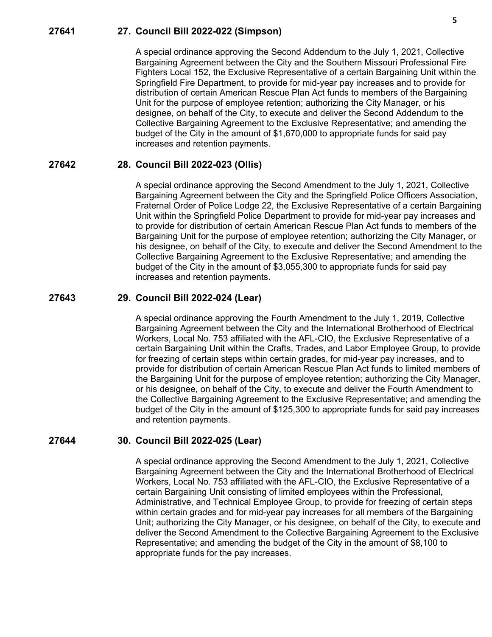### **27641 27. Council Bill 2022-022 (Simpson)**

A special ordinance approving the Second Addendum to the July 1, 2021, Collective Bargaining Agreement between the City and the Southern Missouri Professional Fire Fighters Local 152, the Exclusive Representative of a certain Bargaining Unit within the Springfield Fire Department, to provide for mid-year pay increases and to provide for distribution of certain American Rescue Plan Act funds to members of the Bargaining Unit for the purpose of employee retention; authorizing the City Manager, or his designee, on behalf of the City, to execute and deliver the Second Addendum to the Collective Bargaining Agreement to the Exclusive Representative; and amending the budget of the City in the amount of \$1,670,000 to appropriate funds for said pay increases and retention payments.

#### **27642 28. Council Bill 2022-023 (Ollis)**

A special ordinance approving the Second Amendment to the July 1, 2021, Collective Bargaining Agreement between the City and the Springfield Police Officers Association, Fraternal Order of Police Lodge 22, the Exclusive Representative of a certain Bargaining Unit within the Springfield Police Department to provide for mid-year pay increases and to provide for distribution of certain American Rescue Plan Act funds to members of the Bargaining Unit for the purpose of employee retention; authorizing the City Manager, or his designee, on behalf of the City, to execute and deliver the Second Amendment to the Collective Bargaining Agreement to the Exclusive Representative; and amending the budget of the City in the amount of \$3,055,300 to appropriate funds for said pay increases and retention payments.

### **27643 29. Council Bill 2022-024 (Lear)**

A special ordinance approving the Fourth Amendment to the July 1, 2019, Collective Bargaining Agreement between the City and the International Brotherhood of Electrical Workers, Local No. 753 affiliated with the AFL-CIO, the Exclusive Representative of a certain Bargaining Unit within the Crafts, Trades, and Labor Employee Group, to provide for freezing of certain steps within certain grades, for mid-year pay increases, and to provide for distribution of certain American Rescue Plan Act funds to limited members of the Bargaining Unit for the purpose of employee retention; authorizing the City Manager, or his designee, on behalf of the City, to execute and deliver the Fourth Amendment to the Collective Bargaining Agreement to the Exclusive Representative; and amending the budget of the City in the amount of \$125,300 to appropriate funds for said pay increases and retention payments.

#### **27644 30. Council Bill 2022-025 (Lear)**

A special ordinance approving the Second Amendment to the July 1, 2021, Collective Bargaining Agreement between the City and the International Brotherhood of Electrical Workers, Local No. 753 affiliated with the AFL-CIO, the Exclusive Representative of a certain Bargaining Unit consisting of limited employees within the Professional, Administrative, and Technical Employee Group, to provide for freezing of certain steps within certain grades and for mid-year pay increases for all members of the Bargaining Unit; authorizing the City Manager, or his designee, on behalf of the City, to execute and deliver the Second Amendment to the Collective Bargaining Agreement to the Exclusive Representative; and amending the budget of the City in the amount of \$8,100 to appropriate funds for the pay increases.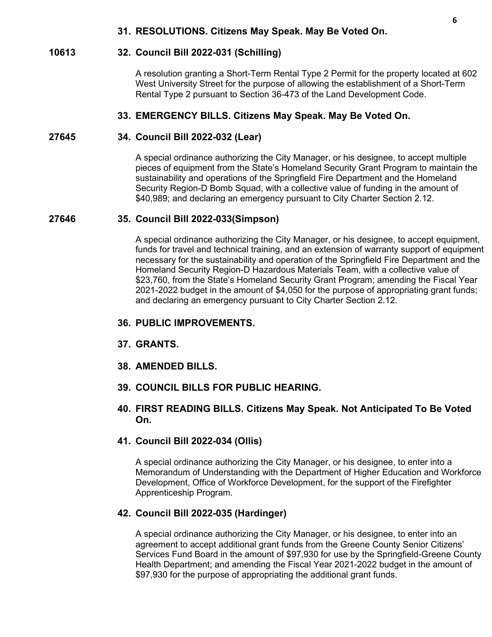# **31. RESOLUTIONS. Citizens May Speak. May Be Voted On.**

#### **10613 32. Council Bill 2022-031 (Schilling)**

A resolution granting a Short-Term Rental Type 2 Permit for the property located at 602 West University Street for the purpose of allowing the establishment of a Short-Term Rental Type 2 pursuant to Section 36-473 of the Land Development Code.

### **33. EMERGENCY BILLS. Citizens May Speak. May Be Voted On.**

#### **27645 34. Council Bill 2022-032 (Lear)**

A special ordinance authorizing the City Manager, or his designee, to accept multiple pieces of equipment from the State's Homeland Security Grant Program to maintain the sustainability and operations of the Springfield Fire Department and the Homeland Security Region-D Bomb Squad, with a collective value of funding in the amount of \$40,989; and declaring an emergency pursuant to City Charter Section 2.12.

#### **27646 35. Council Bill 2022-033(Simpson)**

A special ordinance authorizing the City Manager, or his designee, to accept equipment, funds for travel and technical training, and an extension of warranty support of equipment necessary for the sustainability and operation of the Springfield Fire Department and the Homeland Security Region-D Hazardous Materials Team, with a collective value of \$23,760, from the State's Homeland Security Grant Program; amending the Fiscal Year 2021-2022 budget in the amount of \$4,050 for the purpose of appropriating grant funds; and declaring an emergency pursuant to City Charter Section 2.12.

# **36. PUBLIC IMPROVEMENTS.**

- **37. GRANTS.**
- **38. AMENDED BILLS.**
- **39. COUNCIL BILLS FOR PUBLIC HEARING.**
- **40. FIRST READING BILLS. Citizens May Speak. Not Anticipated To Be Voted On.**

#### **41. Council Bill 2022-034 (Ollis)**

A special ordinance authorizing the City Manager, or his designee, to enter into a Memorandum of Understanding with the Department of Higher Education and Workforce Development, Office of Workforce Development, for the support of the Firefighter Apprenticeship Program.

#### **42. Council Bill 2022-035 (Hardinger)**

A special ordinance authorizing the City Manager, or his designee, to enter into an agreement to accept additional grant funds from the Greene County Senior Citizens' Services Fund Board in the amount of \$97,930 for use by the Springfield-Greene County Health Department; and amending the Fiscal Year 2021-2022 budget in the amount of \$97,930 for the purpose of appropriating the additional grant funds.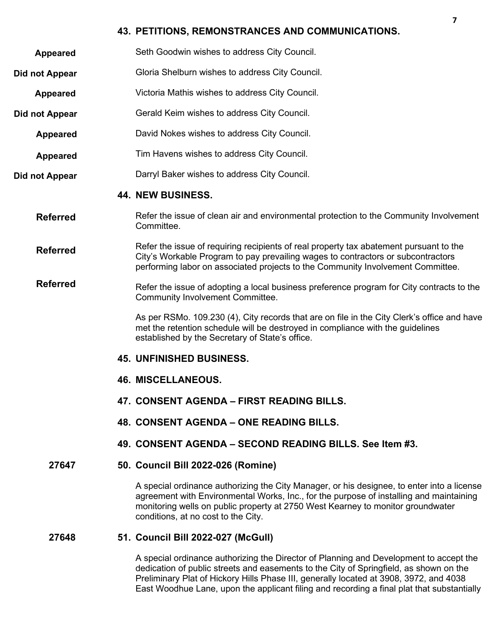# **43. PETITIONS, REMONSTRANCES AND COMMUNICATIONS.**

- **Appeared** Seth Goodwin wishes to address City Council.
- **Did not Appear** Gloria Shelburn wishes to address City Council.
- **Appeared** Victoria Mathis wishes to address City Council.
- **Did not Appear** Gerald Keim wishes to address City Council.
	- **Appeared** David Nokes wishes to address City Council.
	- **Appeared** Tim Havens wishes to address City Council.
- **Did not Appear** Darryl Baker wishes to address City Council.

# **44. NEW BUSINESS.**

- **Referred** Refer the issue of clean air and environmental protection to the Community Involvement Committee.
- **Referred** Refer the issue of requiring recipients of real property tax abatement pursuant to the City's Workable Program to pay prevailing wages to contractors or subcontractors performing labor on associated projects to the Community Involvement Committee.
- **Referred** Refer the issue of adopting a local business preference program for City contracts to the Community Involvement Committee.

As per RSMo. 109.230 (4), City records that are on file in the City Clerk's office and have met the retention schedule will be destroyed in compliance with the guidelines established by the Secretary of State's office.

- **45. UNFINISHED BUSINESS.**
- **46. MISCELLANEOUS.**
- **47. CONSENT AGENDA – FIRST READING BILLS.**
- **48. CONSENT AGENDA – ONE READING BILLS.**
- **49. CONSENT AGENDA – SECOND READING BILLS. See Item #3.**

# **27647 50. Council Bill 2022-026 (Romine)**

A special ordinance authorizing the City Manager, or his designee, to enter into a license agreement with Environmental Works, Inc., for the purpose of installing and maintaining monitoring wells on public property at 2750 West Kearney to monitor groundwater conditions, at no cost to the City.

# **27648 51. Council Bill 2022-027 (McGull)**

A special ordinance authorizing the Director of Planning and Development to accept the dedication of public streets and easements to the City of Springfield, as shown on the Preliminary Plat of Hickory Hills Phase III, generally located at 3908, 3972, and 4038 East Woodhue Lane, upon the applicant filing and recording a final plat that substantially